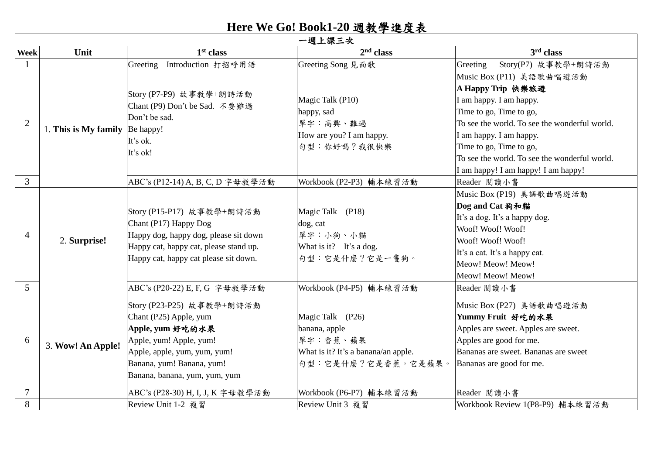## **Here We Go! Book1-20** 週教學進度表

|                | 一週上課三次               |                                                                                                                                                                                                  |                                                                                                            |                                                                                                                                                                                                                                                                                                    |  |  |
|----------------|----------------------|--------------------------------------------------------------------------------------------------------------------------------------------------------------------------------------------------|------------------------------------------------------------------------------------------------------------|----------------------------------------------------------------------------------------------------------------------------------------------------------------------------------------------------------------------------------------------------------------------------------------------------|--|--|
| <b>Week</b>    | Unit                 | 1 <sup>st</sup> class                                                                                                                                                                            | 2 <sup>nd</sup> class                                                                                      | 3 <sup>rd</sup> class                                                                                                                                                                                                                                                                              |  |  |
|                |                      | Greeting Introduction 打招呼用語                                                                                                                                                                      | Greeting Song 見面歌                                                                                          | Story(P7) 故事教學+朗詩活動<br>Greeting                                                                                                                                                                                                                                                                    |  |  |
| $\overline{2}$ | 1. This is My family | Story (P7-P9) 故事教學+朗詩活動<br>Chant (P9) Don't be Sad. 不要難過<br>Don't be sad.<br>Be happy!<br>It's ok.<br>It's ok!                                                                                   | Magic Talk (P10)<br>happy, sad<br>單字:高興、難過<br>How are you? I am happy.<br>句型:你好嗎?我很快樂                      | Music Box (P11) 美語歌曲唱遊活動<br>A Happy Trip 快樂旅遊<br>I am happy. I am happy.<br>Time to go, Time to go,<br>To see the world. To see the wonderful world.<br>I am happy. I am happy.<br>Time to go, Time to go,<br>To see the world. To see the wonderful world.<br>I am happy! I am happy! I am happy! |  |  |
| $\overline{3}$ |                      | ABC's (P12-14) A, B, C, D 字母教學活動                                                                                                                                                                 | Workbook (P2-P3) 輔本練習活動                                                                                    | Reader 閲讀小書                                                                                                                                                                                                                                                                                        |  |  |
| $\overline{4}$ | 2. Surprise!         | Story (P15-P17) 故事教學+朗詩活動<br>Chant (P17) Happy Dog<br>Happy dog, happy dog, please sit down<br>Happy cat, happy cat, please stand up.<br>Happy cat, happy cat please sit down.                   | Magic Talk (P18)<br>dog, cat<br>單字:小狗、小貓<br>What is it? It's a dog.<br>句型:它是什麼?它是一隻狗。                      | Music Box (P19) 美語歌曲唱遊活動<br>Dog and Cat 狗和貓<br>It's a dog. It's a happy dog.<br>Woof! Woof! Woof!<br>Woof! Woof! Woof!<br>It's a cat. It's a happy cat.<br>Meow! Meow! Meow!<br>Meow! Meow! Meow!                                                                                                  |  |  |
| 5              |                      | ABC's (P20-22) E, F, G 字母教學活動                                                                                                                                                                    | Workbook (P4-P5) 輔本練習活動                                                                                    | Reader 閱讀小書                                                                                                                                                                                                                                                                                        |  |  |
| 6              | 3. Wow! An Apple!    | Story (P23-P25) 故事教學+朗詩活動<br>Chant (P25) Apple, yum<br>Apple, yum 好吃的水果<br>Apple, yum! Apple, yum!<br>Apple, apple, yum, yum, yum!<br>Banana, yum! Banana, yum!<br>Banana, banana, yum, yum, yum | Magic Talk (P26)<br>banana, apple<br>單字:香蕉、蘋果<br>What is it? It's a banana/an apple.<br>句型:它是什麼?它是香蕉。它是蘋果。 | Music Box (P27) 美語歌曲唱遊活動<br>Yummy Fruit 好吃的水果<br>Apples are sweet. Apples are sweet.<br>Apples are good for me.<br>Bananas are sweet. Bananas are sweet<br>Bananas are good for me.                                                                                                                |  |  |
| $\overline{7}$ |                      | ABC's (P28-30) H, I, J, K 字母教學活動                                                                                                                                                                 | Workbook (P6-P7) 輔本練習活動                                                                                    | Reader 閲讀小書                                                                                                                                                                                                                                                                                        |  |  |
| 8              |                      | Review Unit 1-2 複習                                                                                                                                                                               | Review Unit 3 複習                                                                                           | Workbook Review 1(P8-P9) 輔本練習活動                                                                                                                                                                                                                                                                    |  |  |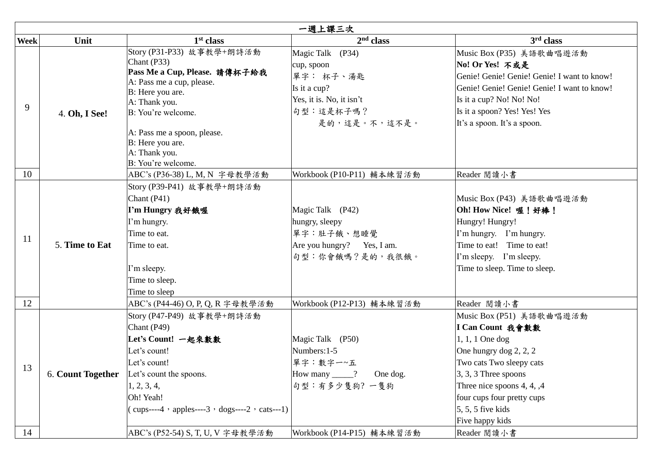|               | 一週上課三次                   |                                                                                                                                                                                                                                                             |                                                                                                                      |                                                                                                                                                                                                                                                                      |  |
|---------------|--------------------------|-------------------------------------------------------------------------------------------------------------------------------------------------------------------------------------------------------------------------------------------------------------|----------------------------------------------------------------------------------------------------------------------|----------------------------------------------------------------------------------------------------------------------------------------------------------------------------------------------------------------------------------------------------------------------|--|
| <b>Week</b>   | Unit                     | 1 <sup>st</sup> class                                                                                                                                                                                                                                       | 2 <sup>nd</sup> class                                                                                                | 3rd class                                                                                                                                                                                                                                                            |  |
| 9             | 4. Oh, I See!            | Story (P31-P33) 故事教學+朗詩活動<br>Chant (P33)<br>Pass Me a Cup, Please. 請傳杯子給我<br>A: Pass me a cup, please.<br>B: Here you are.<br>A: Thank you.<br>B: You're welcome.<br>A: Pass me a spoon, please.<br>B: Here you are.<br>A: Thank you.<br>B: You're welcome. | Magic Talk (P34)<br>cup, spoon<br>單字: 杯子、湯匙<br>Is it a cup?<br>Yes, it is. No, it isn't<br>句型:這是杯子嗎?<br>是的,這是。不,這不是。 | Music Box (P35) 美語歌曲唱遊活動<br>No! Or Yes! 不或是<br>Genie! Genie! Genie! Genie! I want to know!<br>Genie! Genie! Genie! Genie! I want to know!<br>Is it a cup? No! No! No!<br>Is it a spoon? Yes! Yes! Yes<br>It's a spoon. It's a spoon.                                 |  |
| 10            |                          | ABC's (P36-38) L, M, N 字母教學活動                                                                                                                                                                                                                               | Workbook (P10-P11) 輔本練習活動                                                                                            | Reader 閱讀小書                                                                                                                                                                                                                                                          |  |
| <sup>11</sup> | 5. Time to Eat           | Story (P39-P41) 故事教學+朗詩活動<br>Chant $(P41)$<br>I'm Hungry 我好餓喔<br>I'm hungry.<br>Time to eat.<br>Time to eat.<br>I'm sleepy.<br>Time to sleep.<br>Time to sleep                                                                                              | Magic Talk (P42)<br>hungry, sleepy<br>單字:肚子餓、想睡覺<br>Are you hungry? Yes, I am.<br>句型:你會餓嗎?是的,我很餓。                    | Music Box (P43) 美語歌曲唱遊活動<br>Oh! How Nice! 喔! 好棒!<br>Hungry! Hungry!<br>I'm hungry. I'm hungry.<br>Time to eat! Time to eat!<br>I'm sleepy. I'm sleepy.<br>Time to sleep. Time to sleep.                                                                              |  |
| 12            |                          | ABC's (P44-46) O, P, Q, R 字母教學活動                                                                                                                                                                                                                            | Workbook (P12-P13) 輔本練習活動                                                                                            | Reader 閲讀小書                                                                                                                                                                                                                                                          |  |
| 13            | <b>6. Count Together</b> | Story (P47-P49) 故事教學+朗詩活動<br>Chant (P49)<br>Let's Count! 一起來數數<br>Let's count!<br>Let's count!<br>Let's count the spoons.<br>1, 2, 3, 4,<br>Oh! Yeah!<br>$(cups---4 \cdot apples---3 \cdot dogs---2 \cdot cats---1)$                                        | Magic Talk (P50)<br>Numbers: 1-5<br>單字:數字一~五<br>How many _____? One dog.<br>句型:有多少隻狗?一隻狗                             | Music Box (P51) 美語歌曲唱遊活動<br>I Can Count 我會數數<br>$1, 1, 1$ One dog<br>One hungry dog 2, 2, 2<br>Two cats Two sleepy cats<br>$\left 3, 3, 3\right $ Three spoons<br>Three nice spoons 4, 4, ,4<br>four cups four pretty cups<br>$5, 5, 5$ five kids<br>Five happy kids |  |
| 14            |                          | ABC's (P52-54) S, T, U, V 字母教學活動                                                                                                                                                                                                                            | Workbook (P14-P15) 輔本練習活動                                                                                            | Reader 閱讀小書                                                                                                                                                                                                                                                          |  |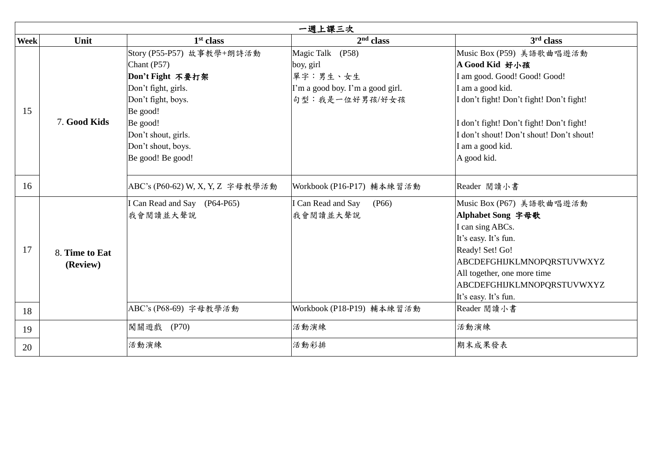|             | 一週上課三次                     |                                                                                                                                                                                                     |                                                                                                 |                                                                                                                                                                                                                                                                       |  |  |
|-------------|----------------------------|-----------------------------------------------------------------------------------------------------------------------------------------------------------------------------------------------------|-------------------------------------------------------------------------------------------------|-----------------------------------------------------------------------------------------------------------------------------------------------------------------------------------------------------------------------------------------------------------------------|--|--|
| <b>Week</b> | Unit                       | 1 <sup>st</sup> class                                                                                                                                                                               | 2 <sup>nd</sup> class                                                                           | 3 <sup>rd</sup> class                                                                                                                                                                                                                                                 |  |  |
| 15          | 7. Good Kids               | Story (P55-P57) 故事教學+朗詩活動<br>Chant (P57)<br>Don't Fight 不要打架<br>Don't fight, girls.<br>Don't fight, boys.<br>Be good!<br>Be good!<br>Don't shout, girls.<br>Don't shout, boys.<br>Be good! Be good! | Magic Talk (P58)<br>boy, girl<br>單字:男生、女生<br>I'm a good boy. I'm a good girl.<br>句型:我是一位好男孩/好女孩 | Music Box (P59) 美語歌曲唱遊活動<br>A Good Kid 好小孩<br>I am good. Good! Good! Good!<br>I am a good kid.<br>I don't fight! Don't fight! Don't fight!<br>I don't fight! Don't fight! Don't fight!<br>I don't shout! Don't shout! Don't shout!<br>I am a good kid.<br>A good kid. |  |  |
| 16          |                            | ABC's (P60-62) W, X, Y, Z 字母教學活動                                                                                                                                                                    | Workbook (P16-P17) 輔本練習活動                                                                       | Reader 閱讀小書                                                                                                                                                                                                                                                           |  |  |
| 17          | 8. Time to Eat<br>(Review) | I Can Read and Say (P64-P65)<br>我會閱讀並大聲說                                                                                                                                                            | I Can Read and Say<br>(P66)<br>我會閱讀並大聲說                                                         | Music Box (P67) 美語歌曲唱遊活動<br>Alphabet Song 字母歌<br>I can sing ABCs.<br>It's easy. It's fun.<br>Ready! Set! Go!<br>ABCDEFGHIJKLMNOPQRSTUVWXYZ<br>All together, one more time<br>ABCDEFGHIJKLMNOPQRSTUVWXYZ<br>It's easy. It's fun.                                       |  |  |
| 18          |                            | ABC's (P68-69) 字母教學活動                                                                                                                                                                               | Workbook (P18-P19) 輔本練習活動                                                                       | Reader 閲讀小書                                                                                                                                                                                                                                                           |  |  |
| 19          |                            | 闖關遊戲<br>(P70)                                                                                                                                                                                       | 活動演練                                                                                            | 活動演練                                                                                                                                                                                                                                                                  |  |  |
| 20          |                            | 活動演練                                                                                                                                                                                                | 活動彩排                                                                                            | 期末成果發表                                                                                                                                                                                                                                                                |  |  |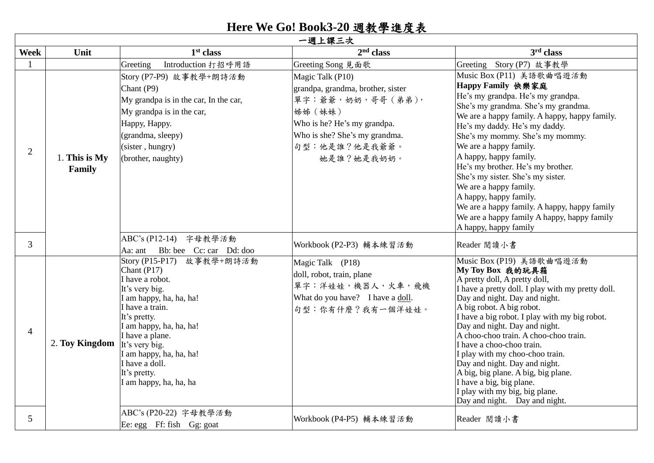## **Here We Go! Book3-20** 週教學進度表

 $\mathsf{r}$ 

|                | 一週上課三次                  |                                                                                                                                                                                                                                                                                                    |                                                                                                                                                                                     |                                                                                                                                                                                                                                                                                                                                                                                                                                                                                                                                                                    |  |  |
|----------------|-------------------------|----------------------------------------------------------------------------------------------------------------------------------------------------------------------------------------------------------------------------------------------------------------------------------------------------|-------------------------------------------------------------------------------------------------------------------------------------------------------------------------------------|--------------------------------------------------------------------------------------------------------------------------------------------------------------------------------------------------------------------------------------------------------------------------------------------------------------------------------------------------------------------------------------------------------------------------------------------------------------------------------------------------------------------------------------------------------------------|--|--|
| <b>Week</b>    | Unit                    | 1 <sup>st</sup> class                                                                                                                                                                                                                                                                              | 2 <sup>nd</sup> class                                                                                                                                                               | 3rd class                                                                                                                                                                                                                                                                                                                                                                                                                                                                                                                                                          |  |  |
|                |                         | Introduction 打招呼用語<br>Greeting                                                                                                                                                                                                                                                                     | Greeting Song 見面歌                                                                                                                                                                   | Greeting Story (P7) 故事教學                                                                                                                                                                                                                                                                                                                                                                                                                                                                                                                                           |  |  |
| $\overline{2}$ | 1. This is My<br>Family | Story (P7-P9) 故事教學+朗詩活動<br>Chant (P9)<br>My grandpa is in the car, In the car,<br>My grandpa is in the car,<br>Нарру, Нарру.<br>(grandma, sleepy)<br>(sister, hungry)<br>(brother, naughty)                                                                                                        | Magic Talk (P10)<br>grandpa, grandma, brother, sister<br>單字:爺爺,奶奶,哥哥(弟弟),<br>姊姊 (妹妹)<br>Who is he? He's my grandpa.<br>Who is she? She's my grandma.<br>句型:他是誰?他是我爺爺。<br>她是誰?她是我奶奶。 | Music Box (P11) 美語歌曲唱遊活動<br>Happy Family 快樂家庭<br>He's my grandpa. He's my grandpa.<br>She's my grandma. She's my grandma.<br>We are a happy family. A happy, happy family.<br>He's my daddy. He's my daddy.<br>She's my mommy. She's my mommy.<br>We are a happy family.<br>A happy, happy family.<br>He's my brother. He's my brother.<br>She's my sister. She's my sister.<br>We are a happy family.<br>A happy, happy family.<br>We are a happy family. A happy, happy family<br>We are a happy family A happy, happy family<br>A happy, happy family           |  |  |
| $\overline{3}$ |                         | ABC's (P12-14)<br>字母教學活動<br>Bb: bee Cc: car Dd: doo<br>Aa: ant                                                                                                                                                                                                                                     | Workbook (P2-P3) 輔本練習活動                                                                                                                                                             | Reader 閲讀小書                                                                                                                                                                                                                                                                                                                                                                                                                                                                                                                                                        |  |  |
| $\overline{4}$ | 2. Toy Kingdom          | Story (P15-P17) 故事教學+朗詩活動<br>Chant (P17)<br>I have a robot.<br>It's very big.<br>I am happy, ha, ha, ha!<br>I have a train.<br>It's pretty.<br>I am happy, ha, ha, ha!<br>I have a plane.<br>It's very big.<br>I am happy, ha, ha, ha!<br>I have a doll.<br>It's pretty.<br>I am happy, ha, ha, ha | Magic Talk (P18)<br>doll, robot, train, plane<br>單字:洋娃娃,機器人,火車,飛機<br>What do you have? I have a doll.<br>句型:你有什麼?我有一個洋娃娃。                                                           | Music Box (P19) 美語歌曲唱遊活動<br>My Toy Box 我的玩具箱<br>A pretty doll, A pretty doll,<br>I have a pretty doll. I play with my pretty doll.<br>Day and night. Day and night.<br>A big robot. A big robot.<br>I have a big robot. I play with my big robot.<br>Day and night. Day and night.<br>A choo-choo train. A choo-choo train.<br>I have a choo-choo train.<br>I play with my choo-choo train.<br>Day and night. Day and night.<br>A big, big plane. A big, big plane.<br>I have a big, big plane.<br>I play with my big, big plane.<br>Day and night. Day and night. |  |  |
| 5              |                         | ABC's (P20-22) 字母教學活動<br>Ee: egg Ff: fish Gg: goat                                                                                                                                                                                                                                                 | Workbook (P4-P5) 輔本練習活動                                                                                                                                                             | Reader 閲讀小書                                                                                                                                                                                                                                                                                                                                                                                                                                                                                                                                                        |  |  |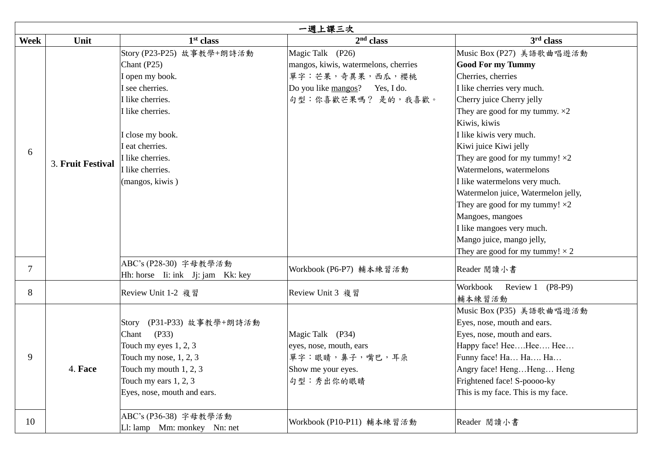|             | 一週上課三次            |                                                                                                                                                                                                                            |                                                                                                                                     |                                                                                                                                                                                                                                                                                                                                                                                                                                                                                                                                                                     |  |  |
|-------------|-------------------|----------------------------------------------------------------------------------------------------------------------------------------------------------------------------------------------------------------------------|-------------------------------------------------------------------------------------------------------------------------------------|---------------------------------------------------------------------------------------------------------------------------------------------------------------------------------------------------------------------------------------------------------------------------------------------------------------------------------------------------------------------------------------------------------------------------------------------------------------------------------------------------------------------------------------------------------------------|--|--|
| <b>Week</b> | Unit              | 1 <sup>st</sup> class                                                                                                                                                                                                      | 2 <sup>nd</sup> class                                                                                                               | 3 <sup>rd</sup> class                                                                                                                                                                                                                                                                                                                                                                                                                                                                                                                                               |  |  |
| 6           | 3. Fruit Festival | Story (P23-P25) 故事教學+朗詩活動<br>Chant $(P25)$<br>I open my book.<br>I see cherries.<br>I like cherries.<br>I like cherries.<br>I close my book.<br>I eat cherries.<br>I like cherries.<br>I like cherries.<br>(mangos, kiwis) | Magic Talk (P26)<br>mangos, kiwis, watermelons, cherries<br>單字:芒果,奇異果,西瓜,櫻桃<br>Do you like mangos? Yes, I do.<br>句型:你喜歡芒果嗎? 是的,我喜歡。 | Music Box (P27) 美語歌曲唱遊活動<br><b>Good For my Tummy</b><br>Cherries, cherries<br>I like cherries very much.<br>Cherry juice Cherry jelly<br>They are good for my tummy. $\times 2$<br>Kiwis, kiwis<br>I like kiwis very much.<br>Kiwi juice Kiwi jelly<br>They are good for my tummy! $\times 2$<br>Watermelons, watermelons<br>I like watermelons very much.<br>Watermelon juice, Watermelon jelly,<br>They are good for my tummy! $\times 2$<br>Mangoes, mangoes<br>I like mangoes very much.<br>Mango juice, mango jelly,<br>They are good for my tummy! $\times$ 2 |  |  |
| $\tau$      |                   | ABC's (P28-30) 字母教學活動<br>Hh: horse Ii: ink Jj: jam Kk: key                                                                                                                                                                 | Workbook (P6-P7) 輔本練習活動                                                                                                             | Reader 閲讀小書                                                                                                                                                                                                                                                                                                                                                                                                                                                                                                                                                         |  |  |
| 8           |                   | Review Unit 1-2 複習                                                                                                                                                                                                         | Review Unit 3 複習                                                                                                                    | Workbook<br>Review 1 (P8-P9)<br>輔本練習活動                                                                                                                                                                                                                                                                                                                                                                                                                                                                                                                              |  |  |
| 9           | 4. Face           | Story (P31-P33) 故事教學+朗詩活動<br>(P33)<br>Chant<br>Touch my eyes $1, 2, 3$<br>Touch my nose, $1, 2, 3$<br>Touch my mouth $1, 2, 3$<br>Touch my ears $1, 2, 3$<br>Eyes, nose, mouth and ears.                                   | Magic Talk (P34)<br>eyes, nose, mouth, ears<br>單字:眼睛,鼻子,嘴巴,耳朵<br>Show me your eyes.<br>句型:秀出你的眼睛                                    | Music Box (P35) 美語歌曲唱遊活動<br>Eyes, nose, mouth and ears.<br>Eyes, nose, mouth and ears.<br>Happy face! HeeHee Hee<br>Funny face! Ha Ha Ha<br>Angry face! HengHeng Heng<br>Frightened face! S-poooo-ky<br>This is my face. This is my face.                                                                                                                                                                                                                                                                                                                           |  |  |
| 10          |                   | ABC's (P36-38) 字母教學活動<br>L1: lamp Mm: monkey Nn: net                                                                                                                                                                       | Workbook (P10-P11) 輔本練習活動                                                                                                           | Reader 閱讀小書                                                                                                                                                                                                                                                                                                                                                                                                                                                                                                                                                         |  |  |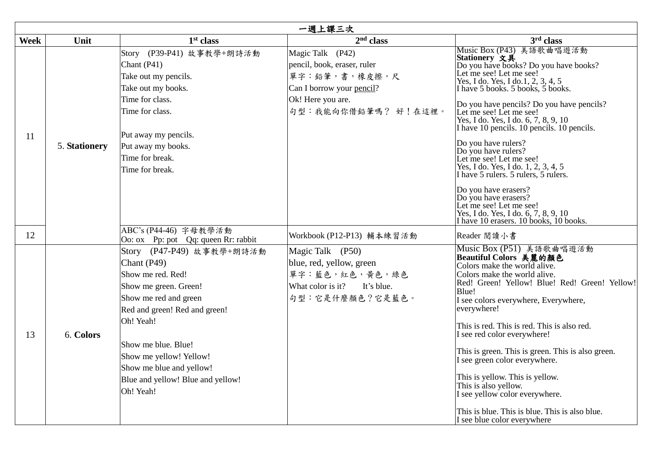|             | 一週上課三次        |                                                                                                                                                                                                                                                                                                 |                                                                                                                                           |                                                                                                                                                                                                                                                                                                                                                                                                                                                                                                                                                                                                                                                                              |  |  |
|-------------|---------------|-------------------------------------------------------------------------------------------------------------------------------------------------------------------------------------------------------------------------------------------------------------------------------------------------|-------------------------------------------------------------------------------------------------------------------------------------------|------------------------------------------------------------------------------------------------------------------------------------------------------------------------------------------------------------------------------------------------------------------------------------------------------------------------------------------------------------------------------------------------------------------------------------------------------------------------------------------------------------------------------------------------------------------------------------------------------------------------------------------------------------------------------|--|--|
| <b>Week</b> | Unit          | 1 <sup>st</sup> class                                                                                                                                                                                                                                                                           | 2 <sup>nd</sup> class                                                                                                                     | 3rd class                                                                                                                                                                                                                                                                                                                                                                                                                                                                                                                                                                                                                                                                    |  |  |
| 11          | 5. Stationery | Story (P39-P41) 故事教學+朗詩活動<br>Chant $(P41)$<br>Take out my pencils.<br>Take out my books.<br>Time for class.<br>Time for class.<br>Put away my pencils.<br>Put away my books.<br>Time for break.<br>Time for break.                                                                              | Magic Talk (P42)<br>pencil, book, eraser, ruler<br>單字:鉛筆,書,橡皮擦,尺<br>Can I borrow your pencil?<br>Ok! Here you are.<br>句型:我能向你借鉛筆嗎? 好!在這裡。 | Music Box (P43) 美語歌曲唱遊活動<br>Stationery 文具<br>Do you have books? Do you have books?<br>Let me see! Let me see!<br>Yes, I do. Yes, I do. 1, 2, 3, 4, 5<br>I have 5 books. 5 books, 5 books.<br>Do you have pencils? Do you have pencils?<br>Let me see! Let me see!<br>Yes, I do. Yes, I do. 6, 7, 8, 9, 10<br>I have 10 pencils. 10 pencils. 10 pencils.<br>Do you have rulers?<br>Do you have rulers?<br>Let me see! Let me see!<br>Yes, I do. Yes, I do. 1, 2, 3, 4, 5<br>I have 5 rulers. 5 rulers, 5 rulers.<br>Do you have erasers?<br>Do you have erasers?<br>Let me see! Let me see!<br>Yes, I do. Yes, I do. 6, 7, 8, 9, 10<br>I have 10 erasers. 10 books, 10 books. |  |  |
| 12          |               | ABC's (P44-46) 字母教學活動<br>Oo: ox Pp: pot Qq: queen Rr: rabbit                                                                                                                                                                                                                                    | Workbook (P12-P13) 輔本練習活動                                                                                                                 | Reader 閱讀小書                                                                                                                                                                                                                                                                                                                                                                                                                                                                                                                                                                                                                                                                  |  |  |
| 13          | 6. Colors     | Story (P47-P49) 故事教學+朗詩活動<br>Chant $(P49)$<br>Show me red. Red!<br>Show me green. Green!<br>Show me red and green<br>Red and green! Red and green!<br>Oh! Yeah!<br>Show me blue. Blue!<br>Show me yellow! Yellow!<br>Show me blue and yellow!<br>Blue and yellow! Blue and yellow!<br>Oh! Yeah! | Magic Talk (P50)<br>blue, red, yellow, green<br>單字:藍色,紅色,黃色,綠色<br>What color is it?<br>It's blue.<br>句型:它是什麼顏色?它是藍色。                      | Music Box (P51) 美語歌曲唱遊活動<br>Beautiful Colors 美麗的顏色<br>Colors make the world alive.<br>Colors make the world alive.<br>Red! Green! Yellow! Blue! Red! Green! Yellow!<br>Blue!<br>I see colors everywhere, Everywhere,<br>everywhere!<br>This is red. This is red. This is also red.<br>I see red color everywhere!<br>This is green. This is green. This is also green.<br>I see green color everywhere.<br>This is yellow. This is yellow.<br>This is also yellow.<br>I see yellow color everywhere.<br>This is blue. This is blue. This is also blue.<br>I see blue color everywhere                                                                                        |  |  |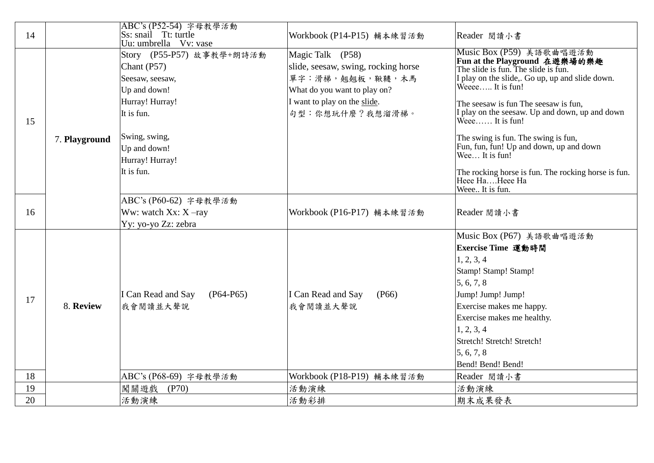| 14 |               | ABC's (P52-54) 字母教學活動<br>Ss: snail Tt: turtle<br>Uu: umbrella Vv: vase                                                                                                           | Workbook (P14-P15) 輔本練習活動                                                                                                                                     | Reader 閲讀小書                                                                                                                                                                                                                                                                                                                                                                                                                                                                          |
|----|---------------|----------------------------------------------------------------------------------------------------------------------------------------------------------------------------------|---------------------------------------------------------------------------------------------------------------------------------------------------------------|--------------------------------------------------------------------------------------------------------------------------------------------------------------------------------------------------------------------------------------------------------------------------------------------------------------------------------------------------------------------------------------------------------------------------------------------------------------------------------------|
| 15 | 7. Playground | Story (P55-P57) 故事教學+朗詩活動<br>Chant $(P57)$<br>Seesaw, seesaw,<br>Up and down!<br>Hurray! Hurray!<br>It is fun.<br>Swing, swing,<br>Up and down!<br>Hurray! Hurray!<br>It is fun. | Magic Talk (P58)<br>slide, seesaw, swing, rocking horse<br>單字:滑梯,翹翹板,鞦韆,木馬<br>What do you want to play on?<br>I want to play on the slide.<br>句型:你想玩什麼?我想溜滑梯。 | Music Box (P59) 美語歌曲唱遊活動<br>Fun at the Playground 在遊樂場的樂趣<br>The slide is fun. The slide is fun.<br>I play on the slide,. Go up, up and slide down.<br>Weece It is fun!<br>The seesaw is fun The seesaw is fun,<br>I play on the seesaw. Up and down, up and down<br>Weee It is fun!<br>The swing is fun. The swing is fun,<br>Fun, fun, fun! Up and down, up and down<br>Wee It is fun!<br>The rocking horse is fun. The rocking horse is fun.<br>Heee HaHeee Ha<br>Weee It is fun. |
| 16 |               | ABC's (P60-62) 字母教學活動<br>Ww: watch $Xx: X$ -ray<br>Yy: yo-yo Zz: zebra                                                                                                           | Workbook (P16-P17) 輔本練習活動                                                                                                                                     | Reader 閱讀小書                                                                                                                                                                                                                                                                                                                                                                                                                                                                          |
| 17 | 8. Review     | I Can Read and Say<br>$(P64-P65)$<br>我會閱讀並大聲說                                                                                                                                    | I Can Read and Say<br>(P66)<br>我會閱讀並大聲說                                                                                                                       | Music Box (P67) 美語歌曲唱遊活動<br>Exercise Time 運動時間<br>1, 2, 3, 4<br>Stamp! Stamp! Stamp!<br>5, 6, 7, 8<br>Jump! Jump! Jump!<br>Exercise makes me happy.<br>Exercise makes me healthy.<br>1, 2, 3, 4<br>Stretch! Stretch! Stretch!<br>5, 6, 7, 8<br>Bend! Bend! Bend!                                                                                                                                                                                                                     |
| 18 |               | ABC's (P68-69) 字母教學活動                                                                                                                                                            | Workbook (P18-P19) 輔本練習活動                                                                                                                                     | Reader 閱讀小書                                                                                                                                                                                                                                                                                                                                                                                                                                                                          |
| 19 |               | 闖關遊戲<br>(P70)                                                                                                                                                                    | 活動演練                                                                                                                                                          | 活動演練                                                                                                                                                                                                                                                                                                                                                                                                                                                                                 |
| 20 |               | 活動演練                                                                                                                                                                             | 活動彩排                                                                                                                                                          | 期末成果發表                                                                                                                                                                                                                                                                                                                                                                                                                                                                               |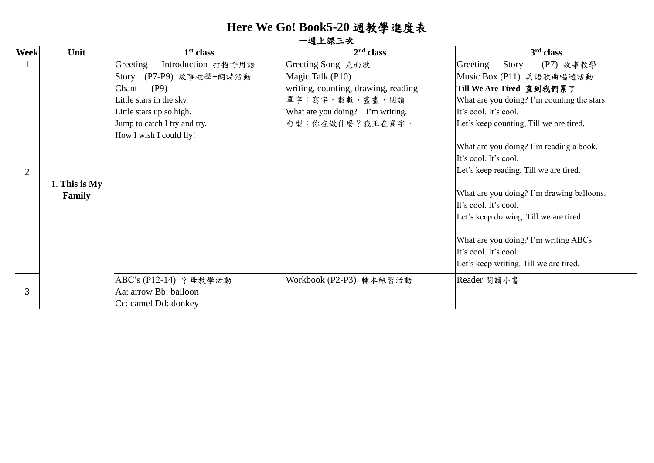## **Here We Go! Book5-20** 週教學進度表

|             | 一週上課三次          |                                |                                     |                                             |  |  |
|-------------|-----------------|--------------------------------|-------------------------------------|---------------------------------------------|--|--|
| <b>Week</b> | Unit            | 1 <sup>st</sup> class          | 2 <sup>nd</sup> class               | 3 <sup>rd</sup> class                       |  |  |
|             |                 | Greeting<br>Introduction 打招呼用語 | Greeting Song 見面歌                   | Greeting<br>Story<br>(P7) 故事教學              |  |  |
|             |                 | (P7-P9) 故事教學+朗詩活動<br>Story     | Magic Talk (P10)                    | Music Box (P11) 美語歌曲唱遊活動                    |  |  |
|             |                 | Chant<br>(P9)                  | writing, counting, drawing, reading | Till We Are Tired 直到我們累了                    |  |  |
|             |                 | Little stars in the sky.       | 單字:寫字,數數,畫畫,閱讀                      | What are you doing? I'm counting the stars. |  |  |
|             |                 | Little stars up so high.       | What are you doing? I'm writing.    | It's cool. It's cool.                       |  |  |
|             |                 | Jump to catch I try and try.   | 句型:你在做什麼?我正在寫字。                     | Let's keep counting, Till we are tired.     |  |  |
|             |                 | How I wish I could fly!        |                                     |                                             |  |  |
|             |                 |                                |                                     | What are you doing? I'm reading a book.     |  |  |
|             |                 |                                |                                     | It's cool. It's cool.                       |  |  |
| 2           |                 |                                |                                     | Let's keep reading. Till we are tired.      |  |  |
|             | 1. This is $My$ |                                |                                     |                                             |  |  |
|             | Family          |                                |                                     | What are you doing? I'm drawing balloons.   |  |  |
|             |                 |                                |                                     | It's cool. It's cool.                       |  |  |
|             |                 |                                |                                     | Let's keep drawing. Till we are tired.      |  |  |
|             |                 |                                |                                     |                                             |  |  |
|             |                 |                                |                                     | What are you doing? I'm writing ABCs.       |  |  |
|             |                 |                                |                                     | It's cool. It's cool.                       |  |  |
|             |                 |                                |                                     | Let's keep writing. Till we are tired.      |  |  |
|             |                 | ABC's (P12-14) 字母教學活動          | Workbook (P2-P3) 輔本練習活動             | Reader 閱讀小書                                 |  |  |
| 3           |                 | Aa: arrow Bb: balloon          |                                     |                                             |  |  |
|             |                 | Cc: camel Dd: donkey           |                                     |                                             |  |  |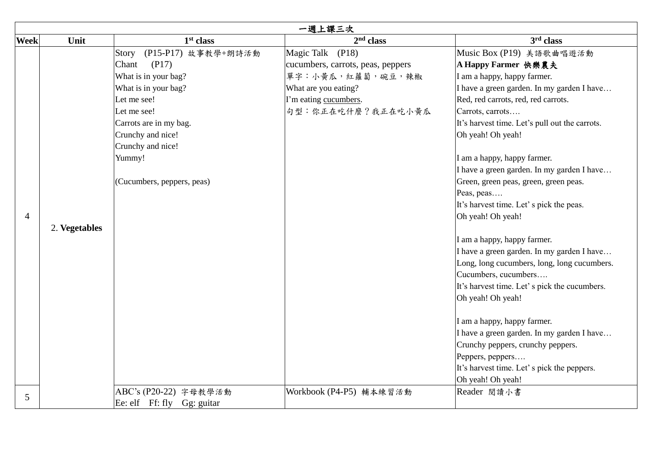|                | 一週上課三次        |                            |                                   |                                                |  |  |
|----------------|---------------|----------------------------|-----------------------------------|------------------------------------------------|--|--|
| <b>Week</b>    | Unit          | 1 <sup>st</sup> class      | $2nd$ class                       | 3 <sup>rd</sup> class                          |  |  |
|                |               | Story (P15-P17) 故事教學+朗詩活動  | Magic Talk (P18)                  | Music Box (P19) 美語歌曲唱遊活動                       |  |  |
|                |               | (P17)<br>Chant             | cucumbers, carrots, peas, peppers | A Happy Farmer 快樂農夫                            |  |  |
|                |               | What is in your bag?       | 單字:小黃瓜,紅蘿蔔,碗豆,辣椒                  | I am a happy, happy farmer.                    |  |  |
|                |               | What is in your bag?       | What are you eating?              | I have a green garden. In my garden I have     |  |  |
|                |               | Let me see!                | I'm eating cucumbers.             | Red, red carrots, red, red carrots.            |  |  |
|                |               | Let me see!                | 句型:你正在吃什麼?我正在吃小黄瓜                 | Carrots, carrots                               |  |  |
|                |               | Carrots are in my bag.     |                                   | It's harvest time. Let's pull out the carrots. |  |  |
|                |               | Crunchy and nice!          |                                   | Oh yeah! Oh yeah!                              |  |  |
|                |               | Crunchy and nice!          |                                   |                                                |  |  |
|                |               | Yummy!                     |                                   | I am a happy, happy farmer.                    |  |  |
|                |               |                            |                                   | I have a green garden. In my garden I have     |  |  |
|                |               | (Cucumbers, peppers, peas) |                                   | Green, green peas, green, green peas.          |  |  |
|                |               |                            |                                   | Peas, peas                                     |  |  |
|                |               |                            |                                   | It's harvest time. Let' s pick the peas.       |  |  |
| $\overline{4}$ |               |                            |                                   | Oh yeah! Oh yeah!                              |  |  |
|                | 2. Vegetables |                            |                                   |                                                |  |  |
|                |               |                            |                                   | I am a happy, happy farmer.                    |  |  |
|                |               |                            |                                   | I have a green garden. In my garden I have     |  |  |
|                |               |                            |                                   | Long, long cucumbers, long, long cucumbers.    |  |  |
|                |               |                            |                                   | Cucumbers, cucumbers                           |  |  |
|                |               |                            |                                   | It's harvest time. Let' s pick the cucumbers.  |  |  |
|                |               |                            |                                   | Oh yeah! Oh yeah!                              |  |  |
|                |               |                            |                                   |                                                |  |  |
|                |               |                            |                                   | I am a happy, happy farmer.                    |  |  |
|                |               |                            |                                   | I have a green garden. In my garden I have     |  |  |
|                |               |                            |                                   | Crunchy peppers, crunchy peppers.              |  |  |
|                |               |                            |                                   | Peppers, peppers                               |  |  |
|                |               |                            |                                   | It's harvest time. Let' s pick the peppers.    |  |  |
|                |               |                            |                                   | Oh yeah! Oh yeah!                              |  |  |
| 5              |               | ABC's (P20-22) 字母教學活動      | Workbook (P4-P5) 輔本練習活動           | Reader 閱讀小書                                    |  |  |
|                |               | Ee: elf Ff: fly Gg: guitar |                                   |                                                |  |  |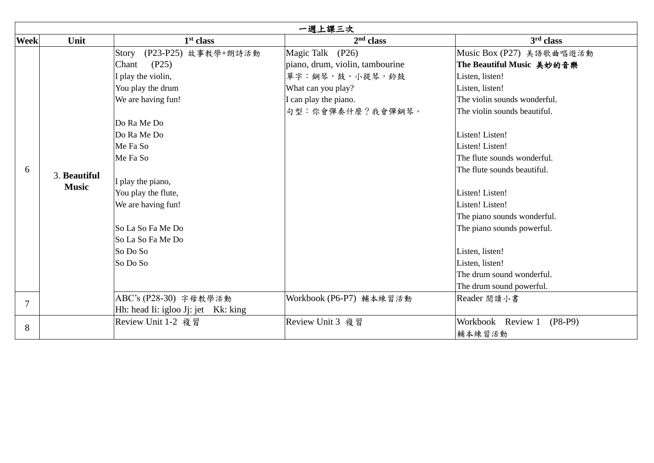|             | 一週上課三次       |                                     |                                 |                                |  |  |
|-------------|--------------|-------------------------------------|---------------------------------|--------------------------------|--|--|
| <b>Week</b> | Unit         | 1 <sup>st</sup> class               | 2 <sup>nd</sup> class           | 3 <sup>rd</sup> class          |  |  |
|             |              | (P23-P25) 故事教學+朗詩活動<br>Story        | Magic Talk (P26)                | Music Box (P27) 美語歌曲唱遊活動       |  |  |
|             |              | (P25)<br>Chant                      | piano, drum, violin, tambourine | The Beautiful Music 美妙的音樂      |  |  |
|             |              | I play the violin,                  | 單字:鋼琴,鼓,小提琴,鈴鼓                  | Listen, listen!                |  |  |
|             |              | You play the drum                   | What can you play?              | Listen, listen!                |  |  |
|             |              | We are having fun!                  | I can play the piano.           | The violin sounds wonderful.   |  |  |
|             |              |                                     | 句型:你會彈奏什麼?我會彈鋼琴。                | The violin sounds beautiful.   |  |  |
|             |              | Do Ra Me Do                         |                                 |                                |  |  |
|             |              | Do Ra Me Do                         |                                 | Listen! Listen!                |  |  |
|             |              | Me Fa So                            |                                 | Listen! Listen!                |  |  |
|             |              | Me Fa So                            |                                 | The flute sounds wonderful.    |  |  |
| 6           | 3. Beautiful |                                     |                                 | The flute sounds beautiful.    |  |  |
|             | <b>Music</b> | I play the piano,                   |                                 |                                |  |  |
|             |              | You play the flute,                 |                                 | Listen! Listen!                |  |  |
|             |              | We are having fun!                  |                                 | Listen! Listen!                |  |  |
|             |              |                                     |                                 | The piano sounds wonderful.    |  |  |
|             |              | So La So Fa Me Do                   |                                 | The piano sounds powerful.     |  |  |
|             |              | lSo La So Fa Me Do                  |                                 |                                |  |  |
|             |              | So Do So                            |                                 | Listen, listen!                |  |  |
|             |              | So Do So                            |                                 | Listen, listen!                |  |  |
|             |              |                                     |                                 | The drum sound wonderful.      |  |  |
|             |              |                                     |                                 | The drum sound powerful.       |  |  |
|             |              | ABC's (P28-30) 字母教學活動               | Workbook (P6-P7) 輔本練習活動         | Reader 閱讀小書                    |  |  |
|             |              | Hh: head Ii: igloo Jj: jet Kk: king |                                 |                                |  |  |
| 8           |              | Review Unit 1-2 複習                  | Review Unit 3 複習                | Workbook Review 1<br>$(P8-P9)$ |  |  |
|             |              |                                     |                                 | 輔本練習活動                         |  |  |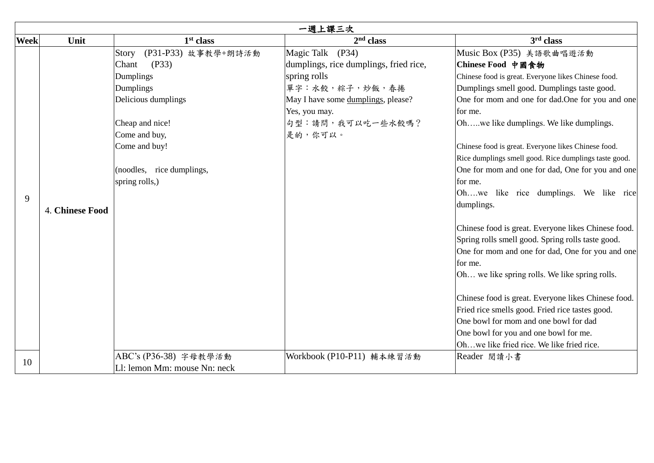|             | 一週上課三次          |                              |                                        |                                                       |  |  |
|-------------|-----------------|------------------------------|----------------------------------------|-------------------------------------------------------|--|--|
| <b>Week</b> | Unit            | 1 <sup>st</sup> class        | 2 <sup>nd</sup> class                  | 3 <sup>rd</sup> class                                 |  |  |
|             |                 | (P31-P33) 故事教學+朗詩活動<br>Story | Magic Talk (P34)                       | Music Box (P35) 美語歌曲唱遊活動                              |  |  |
|             |                 | (P33)<br>Chant               | dumplings, rice dumplings, fried rice, | Chinese Food 中國食物                                     |  |  |
|             |                 | Dumplings                    | spring rolls                           | Chinese food is great. Everyone likes Chinese food.   |  |  |
|             |                 | Dumplings                    | 單字:水餃,粽子,炒飯,春捲                         | Dumplings smell good. Dumplings taste good.           |  |  |
|             |                 | Delicious dumplings          | May I have some dumplings, please?     | One for mom and one for dad. One for you and one      |  |  |
|             |                 |                              | Yes, you may.                          | for me.                                               |  |  |
|             |                 | Cheap and nice!              | 句型:請問,我可以吃一些水餃嗎?                       | Oh, we like dumplings. We like dumplings.             |  |  |
|             |                 | Come and buy,                | 是的,你可以。                                |                                                       |  |  |
|             |                 | Come and buy!                |                                        | Chinese food is great. Everyone likes Chinese food.   |  |  |
|             |                 |                              |                                        | Rice dumplings smell good. Rice dumplings taste good. |  |  |
|             |                 | (noodles, rice dumplings,    |                                        | One for mom and one for dad, One for you and one      |  |  |
|             |                 | spring rolls,)               |                                        | for me.                                               |  |  |
| 9           |                 |                              |                                        | Ohwe like rice dumplings. We like rice                |  |  |
|             | 4. Chinese Food |                              |                                        | dumplings.                                            |  |  |
|             |                 |                              |                                        |                                                       |  |  |
|             |                 |                              |                                        | Chinese food is great. Everyone likes Chinese food.   |  |  |
|             |                 |                              |                                        | Spring rolls smell good. Spring rolls taste good.     |  |  |
|             |                 |                              |                                        | One for mom and one for dad, One for you and one      |  |  |
|             |                 |                              |                                        | for me.                                               |  |  |
|             |                 |                              |                                        | Oh we like spring rolls. We like spring rolls.        |  |  |
|             |                 |                              |                                        | Chinese food is great. Everyone likes Chinese food.   |  |  |
|             |                 |                              |                                        | Fried rice smells good. Fried rice tastes good.       |  |  |
|             |                 |                              |                                        | One bowl for mom and one bowl for dad                 |  |  |
|             |                 |                              |                                        | One bowl for you and one bowl for me.                 |  |  |
|             |                 |                              |                                        | Ohwe like fried rice. We like fried rice.             |  |  |
| 10          |                 | ABC's (P36-38) 字母教學活動        | Workbook (P10-P11) 輔本練習活動              | Reader 閱讀小書                                           |  |  |
|             |                 | L1: lemon Mm: mouse Nn: neck |                                        |                                                       |  |  |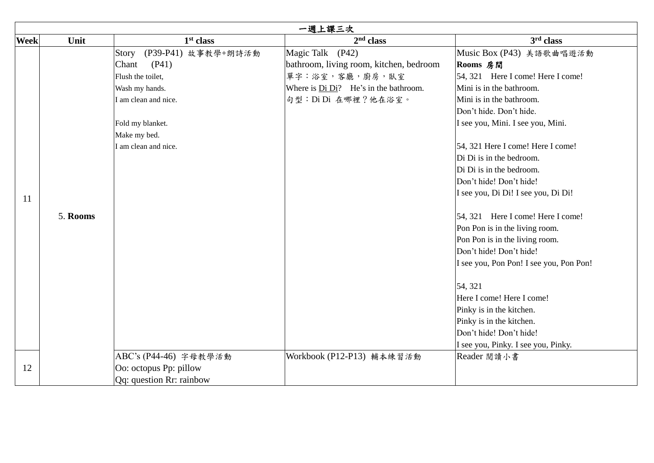|             | 一週上課三次   |                              |                                         |                                         |  |  |
|-------------|----------|------------------------------|-----------------------------------------|-----------------------------------------|--|--|
| <b>Week</b> | Unit     | 1 <sup>st</sup> class        | $2nd$ class                             | 3 <sup>rd</sup> class                   |  |  |
|             |          | (P39-P41) 故事教學+朗詩活動<br>Story | Magic Talk (P42)                        | Music Box (P43) 美語歌曲唱遊活動                |  |  |
|             |          | (P41)<br>Chant               | bathroom, living room, kitchen, bedroom | Rooms 房間                                |  |  |
|             |          | Flush the toilet,            | 單字:浴室,客廳,廚房,臥室                          | 54, 321 Here I come! Here I come!       |  |  |
|             |          | Wash my hands.               | Where is Di Di? He's in the bathroom.   | Mini is in the bathroom.                |  |  |
|             |          | I am clean and nice.         | 句型: Di Di 在哪裡?他在浴室。                     | Mini is in the bathroom.                |  |  |
|             |          |                              |                                         | Don't hide. Don't hide.                 |  |  |
|             |          | Fold my blanket.             |                                         | I see you, Mini. I see you, Mini.       |  |  |
|             |          | Make my bed.                 |                                         |                                         |  |  |
|             |          | I am clean and nice.         |                                         | 54, 321 Here I come! Here I come!       |  |  |
|             |          |                              |                                         | Di Di is in the bedroom.                |  |  |
|             |          |                              |                                         | Di Di is in the bedroom.                |  |  |
|             |          |                              |                                         | Don't hide! Don't hide!                 |  |  |
| 11          |          |                              |                                         | I see you, Di Di! I see you, Di Di!     |  |  |
|             | 5. Rooms |                              |                                         | 54, 321 Here I come! Here I come!       |  |  |
|             |          |                              |                                         | Pon Pon is in the living room.          |  |  |
|             |          |                              |                                         | Pon Pon is in the living room.          |  |  |
|             |          |                              |                                         | Don't hide! Don't hide!                 |  |  |
|             |          |                              |                                         | I see you, Pon Pon! I see you, Pon Pon! |  |  |
|             |          |                              |                                         | 54, 321                                 |  |  |
|             |          |                              |                                         | Here I come! Here I come!               |  |  |
|             |          |                              |                                         | Pinky is in the kitchen.                |  |  |
|             |          |                              |                                         | Pinky is in the kitchen.                |  |  |
|             |          |                              |                                         | Don't hide! Don't hide!                 |  |  |
|             |          |                              |                                         | I see you, Pinky. I see you, Pinky.     |  |  |
|             |          | ABC's (P44-46) 字母教學活動        | Workbook (P12-P13) 輔本練習活動               | Reader 閲讀小書                             |  |  |
| 12          |          | Oo: octopus Pp: pillow       |                                         |                                         |  |  |
|             |          | Qq: question Rr: rainbow     |                                         |                                         |  |  |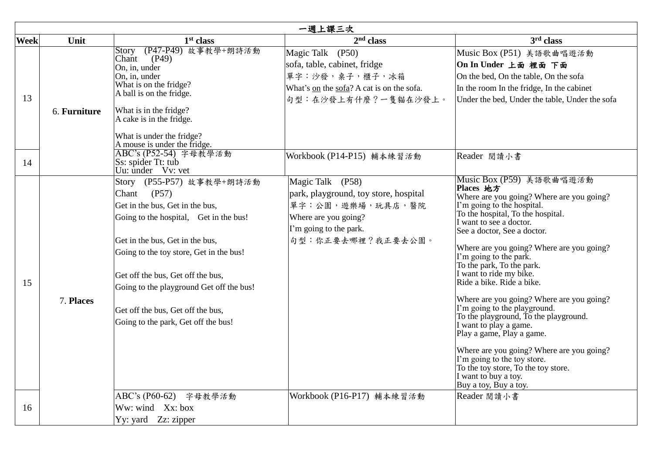| 一週上課三次      |              |                                                                                                                                                                                                                                                                                                                                                                     |                                                                                                                                                      |                                                                                                                                                                                                                                                                                                                                                                                                                                                                                                                                                                                                                                                                                                                              |  |  |  |
|-------------|--------------|---------------------------------------------------------------------------------------------------------------------------------------------------------------------------------------------------------------------------------------------------------------------------------------------------------------------------------------------------------------------|------------------------------------------------------------------------------------------------------------------------------------------------------|------------------------------------------------------------------------------------------------------------------------------------------------------------------------------------------------------------------------------------------------------------------------------------------------------------------------------------------------------------------------------------------------------------------------------------------------------------------------------------------------------------------------------------------------------------------------------------------------------------------------------------------------------------------------------------------------------------------------------|--|--|--|
| <b>Week</b> | Unit         | 1 <sup>st</sup> class                                                                                                                                                                                                                                                                                                                                               | $2nd$ class                                                                                                                                          | 3 <sup>rd</sup> class                                                                                                                                                                                                                                                                                                                                                                                                                                                                                                                                                                                                                                                                                                        |  |  |  |
| 13          | 6. Furniture | (P47-P49) 故事教學+朗詩活動<br>Story<br>Chant<br>(P49)<br>On, in, under<br>On, in, under<br>What is on the fridge?<br>A ball is on the fridge.<br>What is in the fridge?<br>A cake is in the fridge.<br>What is under the fridge?<br>A mouse is under the fridge.                                                                                                           | Magic Talk (P50)<br>sofa, table, cabinet, fridge<br>單字:沙發,桌子,櫃子,冰箱<br>What's on the sofa? A cat is on the sofa.<br>句型:在沙發上有什麼?一隻貓在沙發上。               | Music Box (P51) 美語歌曲唱遊活動<br>On In Under 上面 裡面 下面<br>On the bed, On the table, On the sofa<br>In the room In the fridge, In the cabinet<br>Under the bed, Under the table, Under the sofa                                                                                                                                                                                                                                                                                                                                                                                                                                                                                                                                     |  |  |  |
| 14          |              | ABC's (P52-54) 字母教學活動<br>Ss: spider Tt: tub<br>Uu: under Vv: vet                                                                                                                                                                                                                                                                                                    | Workbook (P14-P15) 輔本練習活動                                                                                                                            | Reader 閲讀小書                                                                                                                                                                                                                                                                                                                                                                                                                                                                                                                                                                                                                                                                                                                  |  |  |  |
| 15          | 7. Places    | Story (P55-P57) 故事教學+朗詩活動<br>(P57)<br>Chant<br>Get in the bus, Get in the bus,<br>Going to the hospital, Get in the bus!<br>Get in the bus, Get in the bus,<br>Going to the toy store, Get in the bus!<br>Get off the bus, Get off the bus,<br>Going to the playground Get off the bus!<br>Get off the bus, Get off the bus,<br>Going to the park, Get off the bus! | Magic Talk (P58)<br>park, playground, toy store, hospital<br>單字:公園,遊樂場,玩具店,醫院<br>Where are you going?<br>I'm going to the park.<br>句型:你正要去哪裡?我正要去公園。 | Music Box (P59) 美語歌曲唱遊活動<br>Places 地方<br>Where are you going? Where are you going?<br>I'm going to the hospital.<br>To the hospital, To the hospital.<br>I want to see a doctor.<br>See a doctor, See a doctor.<br>Where are you going? Where are you going?<br>I'm going to the park.<br>To the park, To the park.<br>I want to ride my bike.<br>Ride a bike. Ride a bike.<br>Where are you going? Where are you going?<br>I'm going to the playground.<br>To the playground, To the playground.<br>I want to play a game.<br>Play a game, Play a game.<br>Where are you going? Where are you going?<br>I'm going to the toy store.<br>To the toy store, To the toy store.<br>I want to buy a toy.<br>Buy a toy, Buy a toy. |  |  |  |
| 16          |              | ABC's (P60-62) 字母教學活動<br>Ww: wind Xx: box<br>Yy: yard Zz: zipper                                                                                                                                                                                                                                                                                                    | Workbook (P16-P17) 輔本練習活動                                                                                                                            | Reader 閱讀小書                                                                                                                                                                                                                                                                                                                                                                                                                                                                                                                                                                                                                                                                                                                  |  |  |  |